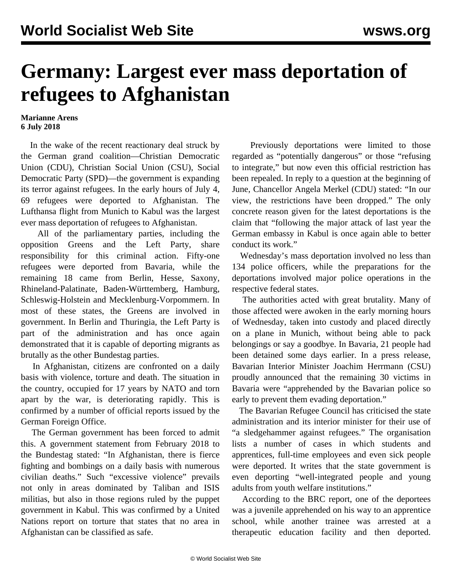## **Germany: Largest ever mass deportation of refugees to Afghanistan**

## **Marianne Arens 6 July 2018**

 In the wake of the recent reactionary deal struck by the German grand coalition—Christian Democratic Union (CDU), Christian Social Union (CSU), Social Democratic Party (SPD)—the government is expanding its terror against refugees. In the early hours of July 4, 69 refugees were deported to Afghanistan. The Lufthansa flight from Munich to Kabul was the largest ever mass deportation of refugees to Afghanistan.

 All of the parliamentary parties, including the opposition Greens and the Left Party, share responsibility for this criminal action. Fifty-one refugees were deported from Bavaria, while the remaining 18 came from Berlin, Hesse, Saxony, Rhineland-Palatinate, Baden-Württemberg, Hamburg, Schleswig-Holstein and Mecklenburg-Vorpommern. In most of these states, the Greens are involved in government. In Berlin and Thuringia, the Left Party is part of the administration and has once again demonstrated that it is capable of deporting migrants as brutally as the other Bundestag parties.

 In Afghanistan, citizens are confronted on a daily basis with violence, torture and death. The situation in the country, occupied for 17 years by NATO and torn apart by the war, is deteriorating rapidly. This is confirmed by a number of official reports issued by the German Foreign Office.

 The German government has been forced to admit this. A government statement from February 2018 to the Bundestag stated: "In Afghanistan, there is fierce fighting and bombings on a daily basis with numerous civilian deaths." Such "excessive violence" prevails not only in areas dominated by Taliban and ISIS militias, but also in those regions ruled by the puppet government in Kabul. This was confirmed by a United Nations report on torture that states that no area in Afghanistan can be classified as safe.

 Previously deportations were limited to those regarded as "potentially dangerous" or those "refusing to integrate," but now even this official restriction has been repealed. In reply to a question at the beginning of June, Chancellor Angela Merkel (CDU) stated: "In our view, the restrictions have been dropped." The only concrete reason given for the latest deportations is the claim that "following the major attack of last year the German embassy in Kabul is once again able to better conduct its work."

 Wednesday's mass deportation involved no less than 134 police officers, while the preparations for the deportations involved major police operations in the respective federal states.

 The authorities acted with great brutality. Many of those affected were awoken in the early morning hours of Wednesday, taken into custody and placed directly on a plane in Munich, without being able to pack belongings or say a goodbye. In Bavaria, 21 people had been detained some days earlier. In a press release, Bavarian Interior Minister Joachim Herrmann (CSU) proudly announced that the remaining 30 victims in Bavaria were "apprehended by the Bavarian police so early to prevent them evading deportation."

 The Bavarian Refugee Council has criticised the state administration and its interior minister for their use of "a sledgehammer against refugees." The organisation lists a number of cases in which students and apprentices, full-time employees and even sick people were deported. It writes that the state government is even deporting "well-integrated people and young adults from youth welfare institutions."

 According to the BRC report, one of the deportees was a juvenile apprehended on his way to an apprentice school, while another trainee was arrested at a therapeutic education facility and then deported.